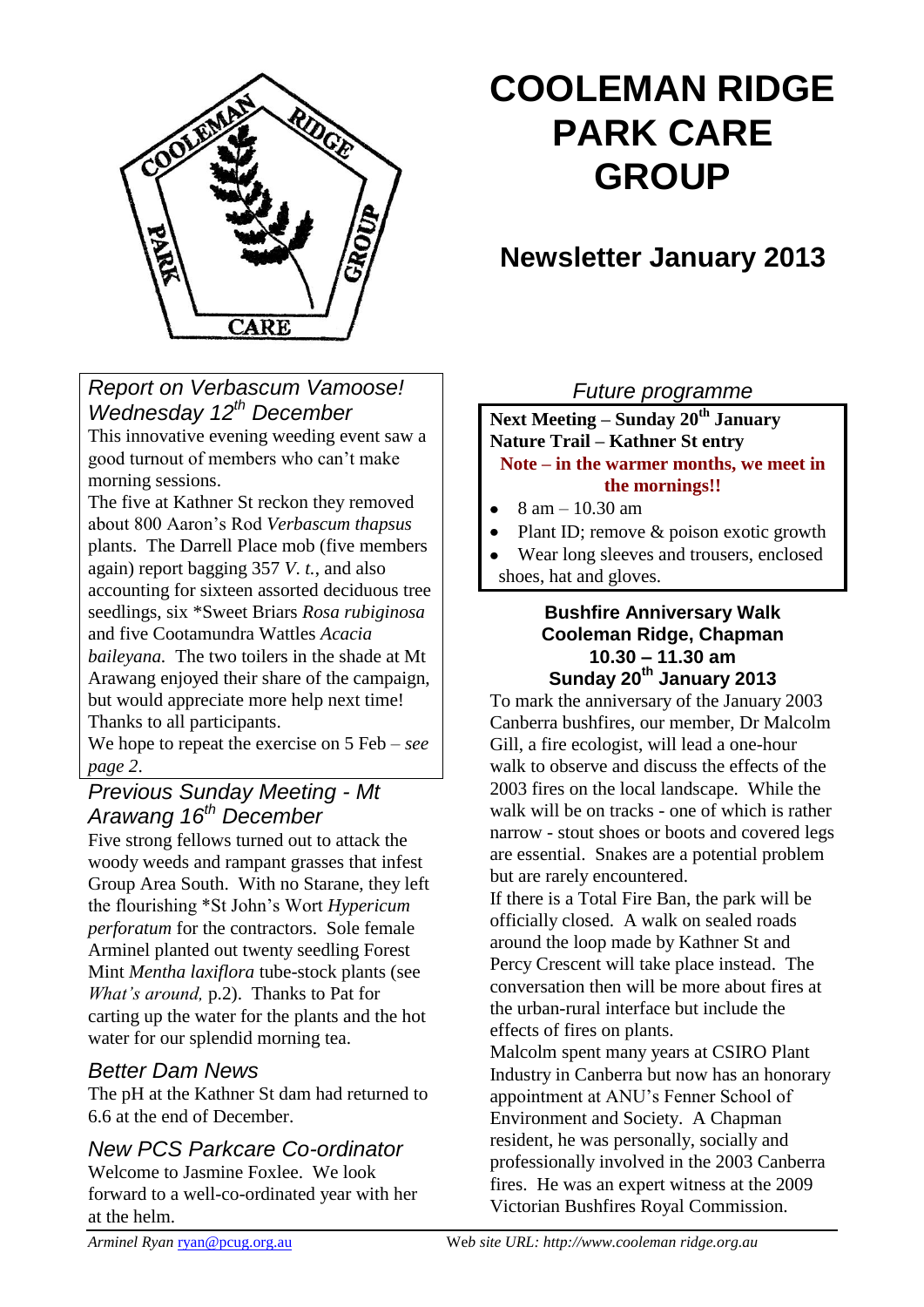

# **COOLEMAN RIDGE PARK CARE GROUP**

# **Newsletter January 2013**

*Report on Verbascum Vamoose! Wednesday 12th December* 

This innovative evening weeding event saw a good turnout of members who can't make morning sessions.

The five at Kathner St reckon they removed about 800 Aaron's Rod *Verbascum thapsus* plants. The Darrell Place mob (five members again) report bagging 357 *V*. *t.*, and also accounting for sixteen assorted deciduous tree seedlings, six \*Sweet Briars *Rosa rubiginosa*  and five Cootamundra Wattles *Acacia baileyana.* The two toilers in the shade at Mt Arawang enjoyed their share of the campaign, but would appreciate more help next time! Thanks to all participants.

We hope to repeat the exercise on 5 Feb – *see page 2*.

# *Previous Sunday Meeting - Mt Arawang 16th December*

Five strong fellows turned out to attack the woody weeds and rampant grasses that infest Group Area South. With no Starane, they left the flourishing \*St John's Wort *Hypericum perforatum* for the contractors. Sole female Arminel planted out twenty seedling Forest Mint *Mentha laxiflora* tube-stock plants (see *What's around,* p.2). Thanks to Pat for carting up the water for the plants and the hot water for our splendid morning tea.

# *Better Dam News*

The pH at the Kathner St dam had returned to 6.6 at the end of December.

# *New PCS Parkcare Co-ordinator*

Welcome to Jasmine Foxlee. We look forward to a well-co-ordinated year with her at the helm.

# *Future programme*

**Next Meeting – Sunday 20th January Nature Trail – Kathner St entry Note – in the warmer months, we meet in the mornings!!**

- 8 am 10.30 am
- Plant ID; remove & poison exotic growth
- Wear long sleeves and trousers, enclosed shoes, hat and gloves.

#### **Bushfire Anniversary Walk Cooleman Ridge, Chapman 10.30 – 11.30 am Sunday 20th January 2013**

To mark the anniversary of the January 2003 Canberra bushfires, our member, Dr Malcolm Gill, a fire ecologist, will lead a one-hour walk to observe and discuss the effects of the 2003 fires on the local landscape. While the walk will be on tracks - one of which is rather narrow - stout shoes or boots and covered legs are essential. Snakes are a potential problem but are rarely encountered.

If there is a Total Fire Ban, the park will be officially closed. A walk on sealed roads around the loop made by Kathner St and Percy Crescent will take place instead. The conversation then will be more about fires at the urban-rural interface but include the effects of fires on plants.

Malcolm spent many years at CSIRO Plant Industry in Canberra but now has an honorary appointment at ANU's Fenner School of Environment and Society. A Chapman resident, he was personally, socially and professionally involved in the 2003 Canberra fires. He was an expert witness at the 2009 Victorian Bushfires Royal Commission.